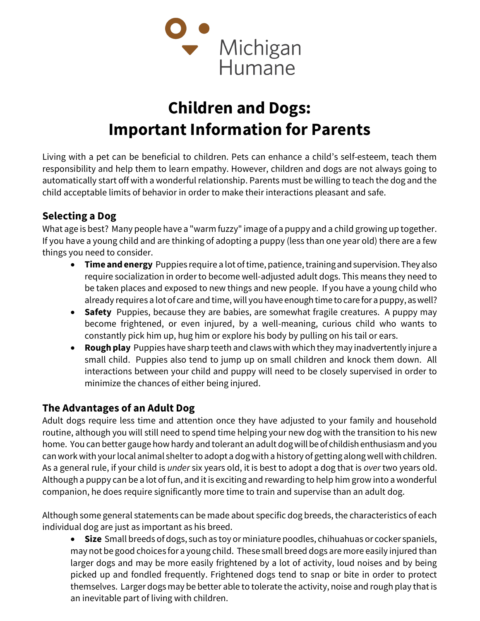

## Children and Dogs: Important Information for Parents

Living with a pet can be beneficial to children. Pets can enhance a child's self-esteem, teach them responsibility and help them to learn empathy. However, children and dogs are not always going to automatically start off with a wonderful relationship. Parents must be willing to teach the dog and the child acceptable limits of behavior in order to make their interactions pleasant and safe.

## Selecting a Dog

What age is best? Many people have a "warm fuzzy" image of a puppy and a child growing up together. If you have a young child and are thinking of adopting a puppy (less than one year old) there are a few things you need to consider.

- **Time and energy** Puppies require a lot of time, patience, training and supervision. They also require socialization in order to become well-adjusted adult dogs. This means they need to be taken places and exposed to new things and new people. If you have a young child who already requires a lot of care and time, will you have enough time to care for a puppy, as well?
- Safety Puppies, because they are babies, are somewhat fragile creatures. A puppy may become frightened, or even injured, by a well-meaning, curious child who wants to constantly pick him up, hug him or explore his body by pulling on his tail or ears.
- Rough play Puppies have sharp teeth and claws with which they may inadvertently injure a small child. Puppies also tend to jump up on small children and knock them down. All interactions between your child and puppy will need to be closely supervised in order to minimize the chances of either being injured.

## The Advantages of an Adult Dog

Adult dogs require less time and attention once they have adjusted to your family and household routine, although you will still need to spend time helping your new dog with the transition to his new home. You can better gauge how hardy and tolerant an adult dog will be of childish enthusiasm and you can work with your local animal shelter to adopt a dog with a history of getting along well with children. As a general rule, if your child is *under* six years old, it is best to adopt a dog that is over two years old. Although a puppy can be a lot of fun, and it is exciting and rewarding to help him grow into a wonderful companion, he does require significantly more time to train and supervise than an adult dog.

Although some general statements can be made about specific dog breeds, the characteristics of each individual dog are just as important as his breed.

• Size Small breeds of dogs, such as toy or miniature poodles, chihuahuas or cocker spaniels, may not be good choices for a young child. These small breed dogs are more easily injured than larger dogs and may be more easily frightened by a lot of activity, loud noises and by being picked up and fondled frequently. Frightened dogs tend to snap or bite in order to protect themselves. Larger dogs may be better able to tolerate the activity, noise and rough play that is an inevitable part of living with children.